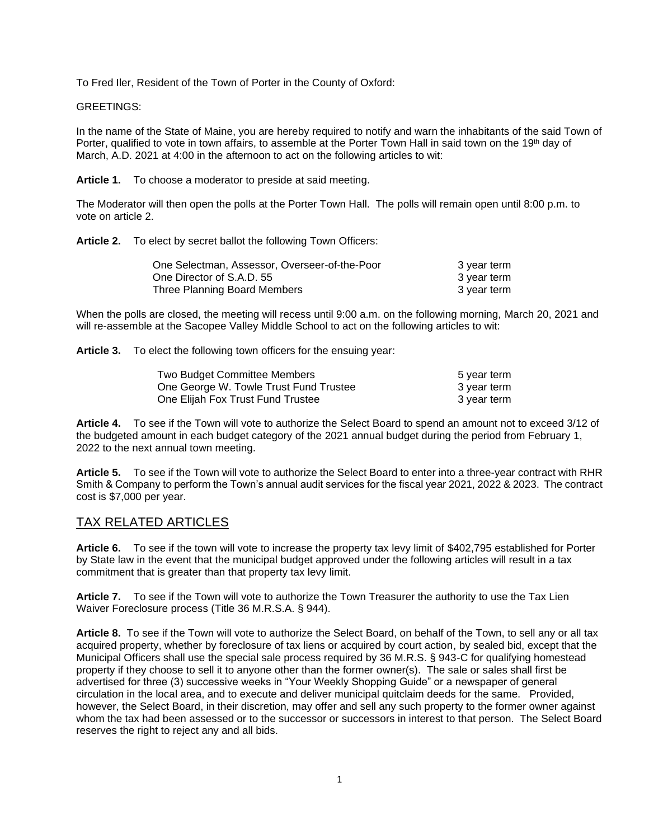To Fred Iler, Resident of the Town of Porter in the County of Oxford:

GREETINGS:

In the name of the State of Maine, you are hereby required to notify and warn the inhabitants of the said Town of Porter, qualified to vote in town affairs, to assemble at the Porter Town Hall in said town on the 19<sup>th</sup> day of March, A.D. 2021 at 4:00 in the afternoon to act on the following articles to wit:

**Article 1.** To choose a moderator to preside at said meeting.

The Moderator will then open the polls at the Porter Town Hall. The polls will remain open until 8:00 p.m. to vote on article 2.

**Article 2.** To elect by secret ballot the following Town Officers:

| One Selectman, Assessor, Overseer-of-the-Poor | 3 year term |
|-----------------------------------------------|-------------|
| One Director of S.A.D. 55                     | 3 year term |
| Three Planning Board Members                  | 3 year term |

When the polls are closed, the meeting will recess until 9:00 a.m. on the following morning, March 20, 2021 and will re-assemble at the Sacopee Valley Middle School to act on the following articles to wit:

**Article 3.** To elect the following town officers for the ensuing year:

| Two Budget Committee Members           | 5 year term |
|----------------------------------------|-------------|
| One George W. Towle Trust Fund Trustee | 3 year term |
| One Elijah Fox Trust Fund Trustee      | 3 year term |

**Article 4.** To see if the Town will vote to authorize the Select Board to spend an amount not to exceed 3/12 of the budgeted amount in each budget category of the 2021 annual budget during the period from February 1, 2022 to the next annual town meeting.

**Article 5.** To see if the Town will vote to authorize the Select Board to enter into a three-year contract with RHR Smith & Company to perform the Town's annual audit services for the fiscal year 2021, 2022 & 2023. The contract cost is \$7,000 per year.

# TAX RELATED ARTICLES

**Article 6.** To see if the town will vote to increase the property tax levy limit of \$402,795 established for Porter by State law in the event that the municipal budget approved under the following articles will result in a tax commitment that is greater than that property tax levy limit.

**Article 7.** To see if the Town will vote to authorize the Town Treasurer the authority to use the Tax Lien Waiver Foreclosure process (Title 36 M.R.S.A. § 944).

**Article 8.** To see if the Town will vote to authorize the Select Board, on behalf of the Town, to sell any or all tax acquired property, whether by foreclosure of tax liens or acquired by court action, by sealed bid, except that the Municipal Officers shall use the special sale process required by 36 M.R.S. § 943-C for qualifying homestead property if they choose to sell it to anyone other than the former owner(s). The sale or sales shall first be advertised for three (3) successive weeks in "Your Weekly Shopping Guide" or a newspaper of general circulation in the local area, and to execute and deliver municipal quitclaim deeds for the same. Provided, however, the Select Board, in their discretion, may offer and sell any such property to the former owner against whom the tax had been assessed or to the successor or successors in interest to that person. The Select Board reserves the right to reject any and all bids.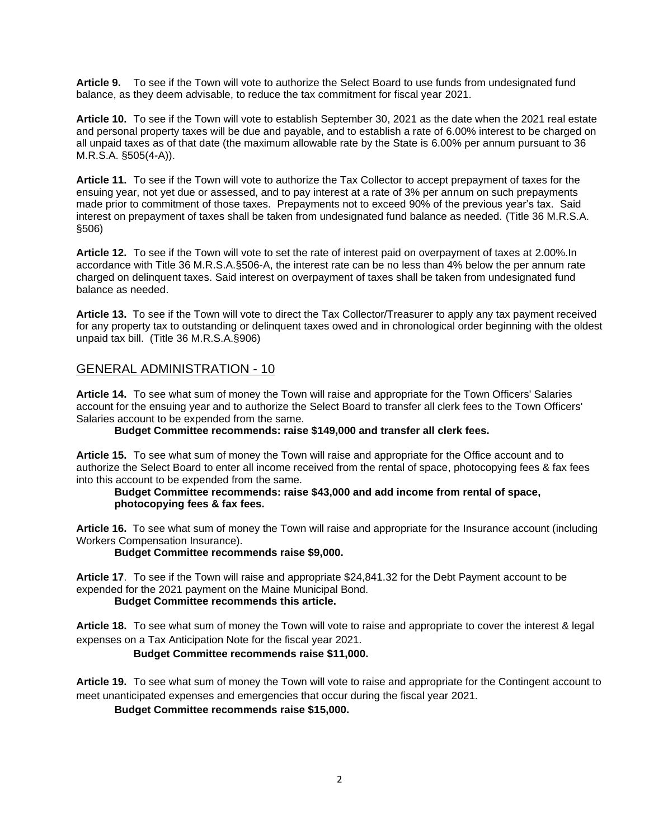**Article 9.** To see if the Town will vote to authorize the Select Board to use funds from undesignated fund balance, as they deem advisable, to reduce the tax commitment for fiscal year 2021.

**Article 10.** To see if the Town will vote to establish September 30, 2021 as the date when the 2021 real estate and personal property taxes will be due and payable, and to establish a rate of 6.00% interest to be charged on all unpaid taxes as of that date (the maximum allowable rate by the State is 6.00% per annum pursuant to 36 M.R.S.A. §505(4-A)).

**Article 11.** To see if the Town will vote to authorize the Tax Collector to accept prepayment of taxes for the ensuing year, not yet due or assessed, and to pay interest at a rate of 3% per annum on such prepayments made prior to commitment of those taxes. Prepayments not to exceed 90% of the previous year's tax. Said interest on prepayment of taxes shall be taken from undesignated fund balance as needed. (Title 36 M.R.S.A. §506)

**Article 12.** To see if the Town will vote to set the rate of interest paid on overpayment of taxes at 2.00%.In accordance with Title 36 M.R.S.A.§506-A, the interest rate can be no less than 4% below the per annum rate charged on delinquent taxes. Said interest on overpayment of taxes shall be taken from undesignated fund balance as needed.

**Article 13.** To see if the Town will vote to direct the Tax Collector/Treasurer to apply any tax payment received for any property tax to outstanding or delinquent taxes owed and in chronological order beginning with the oldest unpaid tax bill. (Title 36 M.R.S.A.§906)

# GENERAL ADMINISTRATION - 10

**Article 14.** To see what sum of money the Town will raise and appropriate for the Town Officers' Salaries account for the ensuing year and to authorize the Select Board to transfer all clerk fees to the Town Officers' Salaries account to be expended from the same.

**Budget Committee recommends: raise \$149,000 and transfer all clerk fees.**

**Article 15.** To see what sum of money the Town will raise and appropriate for the Office account and to authorize the Select Board to enter all income received from the rental of space, photocopying fees & fax fees into this account to be expended from the same.

**Budget Committee recommends: raise \$43,000 and add income from rental of space, photocopying fees & fax fees.**

**Article 16.** To see what sum of money the Town will raise and appropriate for the Insurance account (including Workers Compensation Insurance).

**Budget Committee recommends raise \$9,000.**

**Article 17**. To see if the Town will raise and appropriate \$24,841.32 for the Debt Payment account to be expended for the 2021 payment on the Maine Municipal Bond. **Budget Committee recommends this article.**

**Article 18.** To see what sum of money the Town will vote to raise and appropriate to cover the interest & legal

expenses on a Tax Anticipation Note for the fiscal year 2021. **Budget Committee recommends raise \$11,000.**

**Article 19.** To see what sum of money the Town will vote to raise and appropriate for the Contingent account to meet unanticipated expenses and emergencies that occur during the fiscal year 2021.

**Budget Committee recommends raise \$15,000.**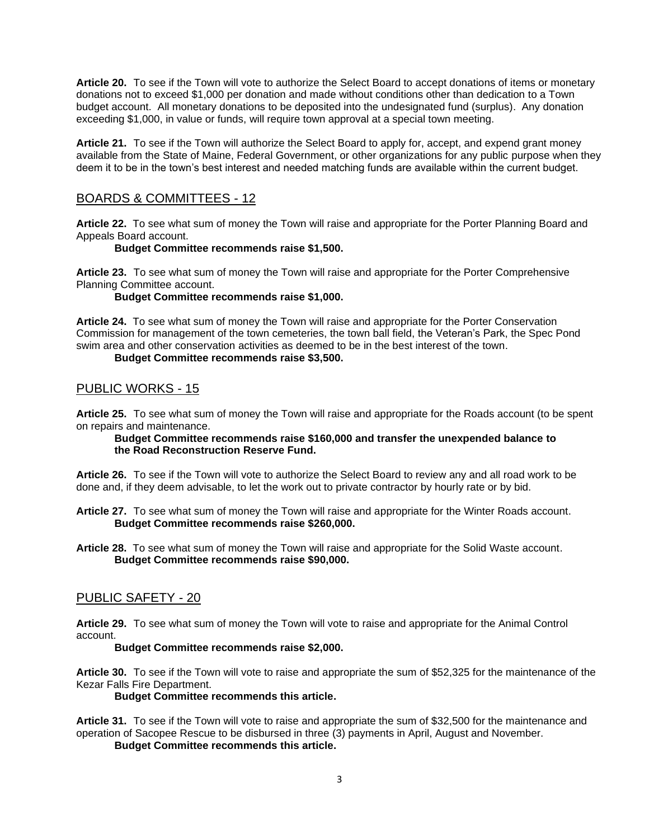**Article 20.** To see if the Town will vote to authorize the Select Board to accept donations of items or monetary donations not to exceed \$1,000 per donation and made without conditions other than dedication to a Town budget account. All monetary donations to be deposited into the undesignated fund (surplus). Any donation exceeding \$1,000, in value or funds, will require town approval at a special town meeting.

**Article 21.** To see if the Town will authorize the Select Board to apply for, accept, and expend grant money available from the State of Maine, Federal Government, or other organizations for any public purpose when they deem it to be in the town's best interest and needed matching funds are available within the current budget.

# BOARDS & COMMITTEES - 12

**Article 22.** To see what sum of money the Town will raise and appropriate for the Porter Planning Board and Appeals Board account.

## **Budget Committee recommends raise \$1,500.**

**Article 23.** To see what sum of money the Town will raise and appropriate for the Porter Comprehensive Planning Committee account.

**Budget Committee recommends raise \$1,000.**

**Article 24.** To see what sum of money the Town will raise and appropriate for the Porter Conservation Commission for management of the town cemeteries, the town ball field, the Veteran's Park, the Spec Pond swim area and other conservation activities as deemed to be in the best interest of the town.

## **Budget Committee recommends raise \$3,500.**

## PUBLIC WORKS - 15

**Article 25.** To see what sum of money the Town will raise and appropriate for the Roads account (to be spent on repairs and maintenance.

#### **Budget Committee recommends raise \$160,000 and transfer the unexpended balance to the Road Reconstruction Reserve Fund.**

**Article 26.** To see if the Town will vote to authorize the Select Board to review any and all road work to be done and, if they deem advisable, to let the work out to private contractor by hourly rate or by bid.

- **Article 27.** To see what sum of money the Town will raise and appropriate for the Winter Roads account. **Budget Committee recommends raise \$260,000.**
- **Article 28.** To see what sum of money the Town will raise and appropriate for the Solid Waste account. **Budget Committee recommends raise \$90,000.**

# PUBLIC SAFETY - 20

**Article 29.** To see what sum of money the Town will vote to raise and appropriate for the Animal Control account.

## **Budget Committee recommends raise \$2,000.**

**Article 30.** To see if the Town will vote to raise and appropriate the sum of \$52,325 for the maintenance of the Kezar Falls Fire Department.

**Budget Committee recommends this article.**

**Article 31.** To see if the Town will vote to raise and appropriate the sum of \$32,500 for the maintenance and operation of Sacopee Rescue to be disbursed in three (3) payments in April, August and November.

**Budget Committee recommends this article.**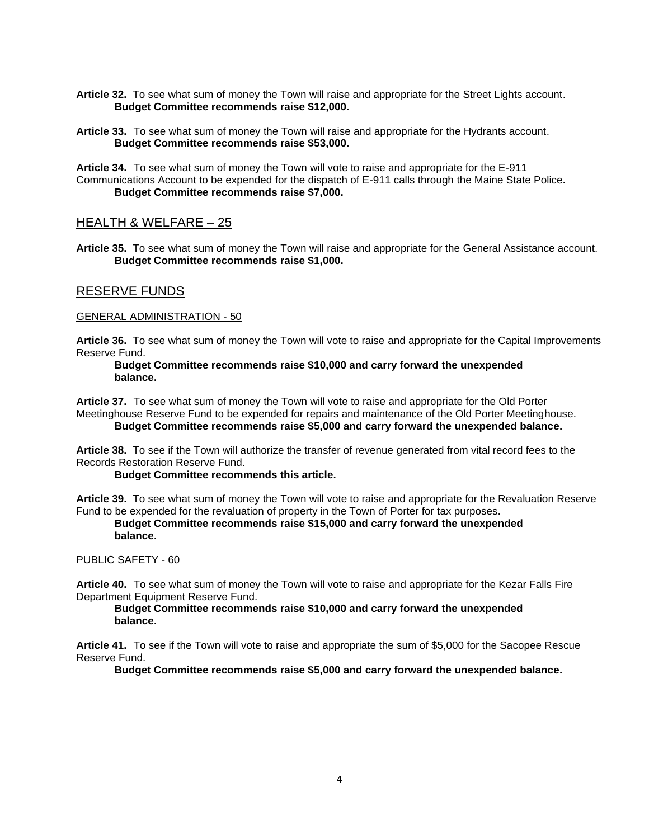- **Article 32.** To see what sum of money the Town will raise and appropriate for the Street Lights account. **Budget Committee recommends raise \$12,000.**
- **Article 33.** To see what sum of money the Town will raise and appropriate for the Hydrants account. **Budget Committee recommends raise \$53,000.**

**Article 34.** To see what sum of money the Town will vote to raise and appropriate for the E-911 Communications Account to be expended for the dispatch of E-911 calls through the Maine State Police. **Budget Committee recommends raise \$7,000.** 

## HEALTH & WELFARE – 25

**Article 35.** To see what sum of money the Town will raise and appropriate for the General Assistance account. **Budget Committee recommends raise \$1,000.** 

## RESERVE FUNDS

## GENERAL ADMINISTRATION - 50

**Article 36.** To see what sum of money the Town will vote to raise and appropriate for the Capital Improvements Reserve Fund.

## **Budget Committee recommends raise \$10,000 and carry forward the unexpended balance.**

**Article 37.** To see what sum of money the Town will vote to raise and appropriate for the Old Porter Meetinghouse Reserve Fund to be expended for repairs and maintenance of the Old Porter Meetinghouse. **Budget Committee recommends raise \$5,000 and carry forward the unexpended balance.**

**Article 38.** To see if the Town will authorize the transfer of revenue generated from vital record fees to the Records Restoration Reserve Fund.

## **Budget Committee recommends this article.**

**Article 39.** To see what sum of money the Town will vote to raise and appropriate for the Revaluation Reserve Fund to be expended for the revaluation of property in the Town of Porter for tax purposes.

## **Budget Committee recommends raise \$15,000 and carry forward the unexpended balance.**

## PUBLIC SAFETY - 60

**Article 40.** To see what sum of money the Town will vote to raise and appropriate for the Kezar Falls Fire Department Equipment Reserve Fund.

#### **Budget Committee recommends raise \$10,000 and carry forward the unexpended balance.**

**Article 41.** To see if the Town will vote to raise and appropriate the sum of \$5,000 for the Sacopee Rescue Reserve Fund.

**Budget Committee recommends raise \$5,000 and carry forward the unexpended balance.**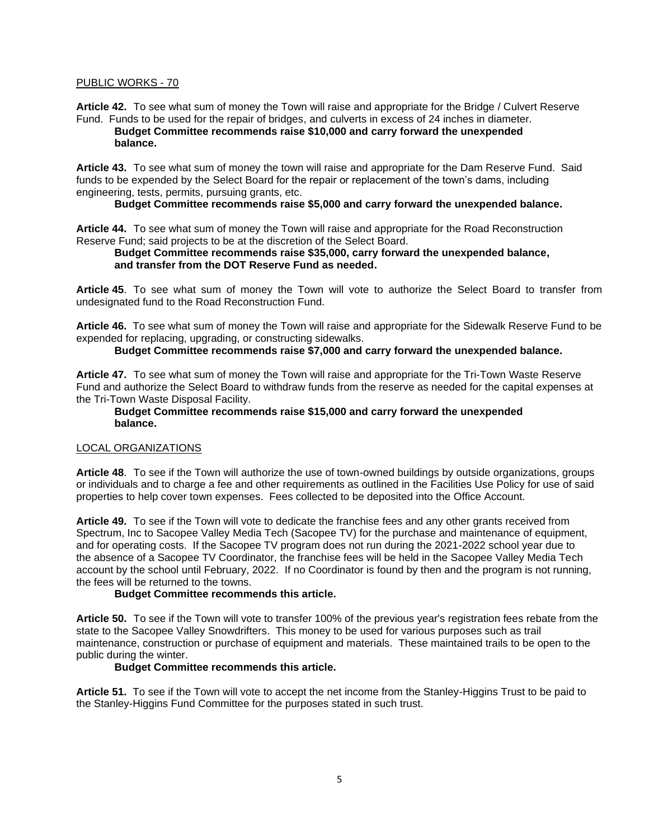#### PUBLIC WORKS - 70

**Article 42.** To see what sum of money the Town will raise and appropriate for the Bridge / Culvert Reserve Fund. Funds to be used for the repair of bridges, and culverts in excess of 24 inches in diameter.

## **Budget Committee recommends raise \$10,000 and carry forward the unexpended balance.**

**Article 43.** To see what sum of money the town will raise and appropriate for the Dam Reserve Fund. Said funds to be expended by the Select Board for the repair or replacement of the town's dams, including engineering, tests, permits, pursuing grants, etc.

#### **Budget Committee recommends raise \$5,000 and carry forward the unexpended balance.**

**Article 44.** To see what sum of money the Town will raise and appropriate for the Road Reconstruction Reserve Fund; said projects to be at the discretion of the Select Board.

#### **Budget Committee recommends raise \$35,000, carry forward the unexpended balance, and transfer from the DOT Reserve Fund as needed.**

**Article 45**. To see what sum of money the Town will vote to authorize the Select Board to transfer from undesignated fund to the Road Reconstruction Fund.

**Article 46.** To see what sum of money the Town will raise and appropriate for the Sidewalk Reserve Fund to be expended for replacing, upgrading, or constructing sidewalks.

**Budget Committee recommends raise \$7,000 and carry forward the unexpended balance.**

**Article 47.** To see what sum of money the Town will raise and appropriate for the Tri-Town Waste Reserve Fund and authorize the Select Board to withdraw funds from the reserve as needed for the capital expenses at the Tri-Town Waste Disposal Facility.

#### **Budget Committee recommends raise \$15,000 and carry forward the unexpended balance.**

#### LOCAL ORGANIZATIONS

**Article 48**. To see if the Town will authorize the use of town-owned buildings by outside organizations, groups or individuals and to charge a fee and other requirements as outlined in the Facilities Use Policy for use of said properties to help cover town expenses. Fees collected to be deposited into the Office Account.

**Article 49.** To see if the Town will vote to dedicate the franchise fees and any other grants received from Spectrum, Inc to Sacopee Valley Media Tech (Sacopee TV) for the purchase and maintenance of equipment, and for operating costs. If the Sacopee TV program does not run during the 2021-2022 school year due to the absence of a Sacopee TV Coordinator, the franchise fees will be held in the Sacopee Valley Media Tech account by the school until February, 2022. If no Coordinator is found by then and the program is not running, the fees will be returned to the towns.

#### **Budget Committee recommends this article.**

**Article 50.** To see if the Town will vote to transfer 100% of the previous year's registration fees rebate from the state to the Sacopee Valley Snowdrifters. This money to be used for various purposes such as trail maintenance, construction or purchase of equipment and materials. These maintained trails to be open to the public during the winter.

## **Budget Committee recommends this article.**

**Article 51.** To see if the Town will vote to accept the net income from the Stanley-Higgins Trust to be paid to the Stanley-Higgins Fund Committee for the purposes stated in such trust.